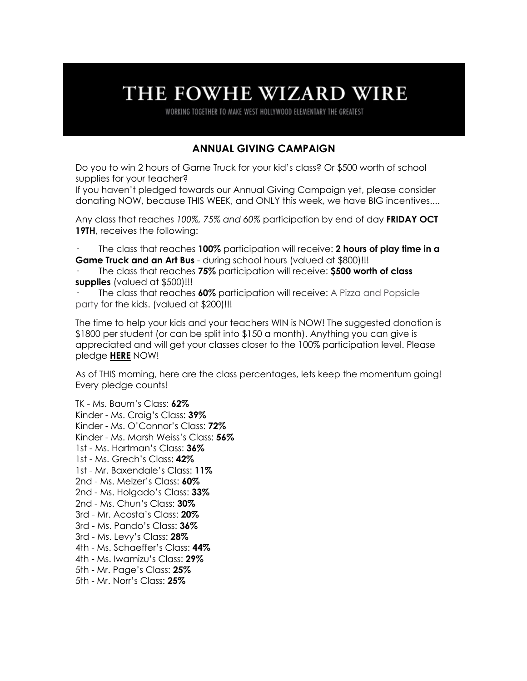# THE FOWHE WIZARD WIRE

WORKING TOGETHER TO MAKE WEST HOLLYWOOD ELEMENTARY THE GREATEST

## **ANNUAL GIVING CAMPAIGN**

Do you to win 2 hours of Game Truck for your kid's class? Or \$500 worth of school supplies for your teacher?

If you haven't pledged towards our Annual Giving Campaign yet, please consider donating NOW, because THIS WEEK, and ONLY this week, we have BIG incentives....

Any class that reaches *100%, 75% and 60%* participation by end of day **FRIDAY OCT 19TH**, receives the following:

· The class that reaches **100%** participation will receive: **2 hours of play time in a Game Truck and an Art Bus** - during school hours (valued at \$800)!!!

· The class that reaches **75%** participation will receive: **\$500 worth of class supplies** (valued at \$500)!!!

· The class that reaches **60%** participation will receive: A Pizza and Popsicle party for the kids. (valued at \$200)!!!

The time to help your kids and your teachers WIN is NOW! The suggested donation is \$1800 per student (or can be split into \$150 a month). Anything you can give is appreciated and will get your classes closer to the 100% participation level. Please pledge **HERE** NOW!

As of THIS morning, here are the class percentages, lets keep the momentum going! Every pledge counts!

TK - Ms. Baum's Class: **62%** Kinder - Ms. Craig's Class: **39%** Kinder - Ms. O'Connor's Class: **72%** Kinder - Ms. Marsh Weiss's Class: **56%** 1st - Ms. Hartman's Class: **36%** 1st - Ms. Grech's Class: **42%** 1st - Mr. Baxendale's Class: **11%** 2nd - Ms. Melzer's Class: **60%** 2nd - Ms. Holgado's Class: **33%** 2nd - Ms. Chun's Class: **30%** 3rd - Mr. Acosta's Class: **20%** 3rd - Ms. Pando's Class: **36%** 3rd - Ms. Levy's Class: **28%** 4th - Ms. Schaeffer's Class: **44%** 4th - Ms. Iwamizu's Class: **29%** 5th - Mr. Page's Class: **25%** 5th - Mr. Norr's Class: **25%**